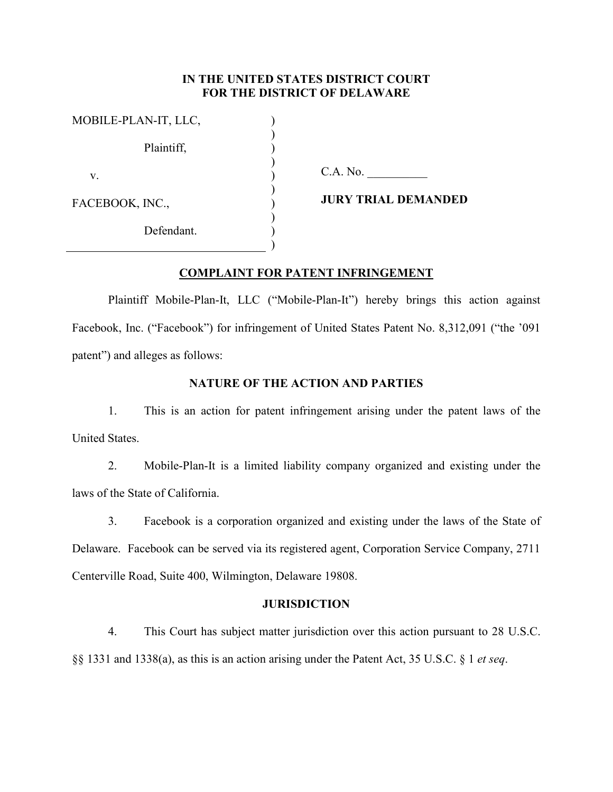# **IN THE UNITED STATES DISTRICT COURT FOR THE DISTRICT OF DELAWARE**

| MOBILE-PLAN-IT, LLC, |  |
|----------------------|--|
| Plaintiff,           |  |
| V.                   |  |
| FACEBOOK, INC.,      |  |
| Defendant.           |  |
|                      |  |

C.A. No.

**JURY TRIAL DEMANDED** 

# **COMPLAINT FOR PATENT INFRINGEMENT**

Plaintiff Mobile-Plan-It, LLC ("Mobile-Plan-It") hereby brings this action against Facebook, Inc. ("Facebook") for infringement of United States Patent No. 8,312,091 ("the '091 patent") and alleges as follows:

# **NATURE OF THE ACTION AND PARTIES**

1. This is an action for patent infringement arising under the patent laws of the United States.

2. Mobile-Plan-It is a limited liability company organized and existing under the laws of the State of California.

3. Facebook is a corporation organized and existing under the laws of the State of Delaware. Facebook can be served via its registered agent, Corporation Service Company, 2711 Centerville Road, Suite 400, Wilmington, Delaware 19808.

#### **JURISDICTION**

4. This Court has subject matter jurisdiction over this action pursuant to 28 U.S.C. §§ 1331 and 1338(a), as this is an action arising under the Patent Act, 35 U.S.C. § 1 *et seq*.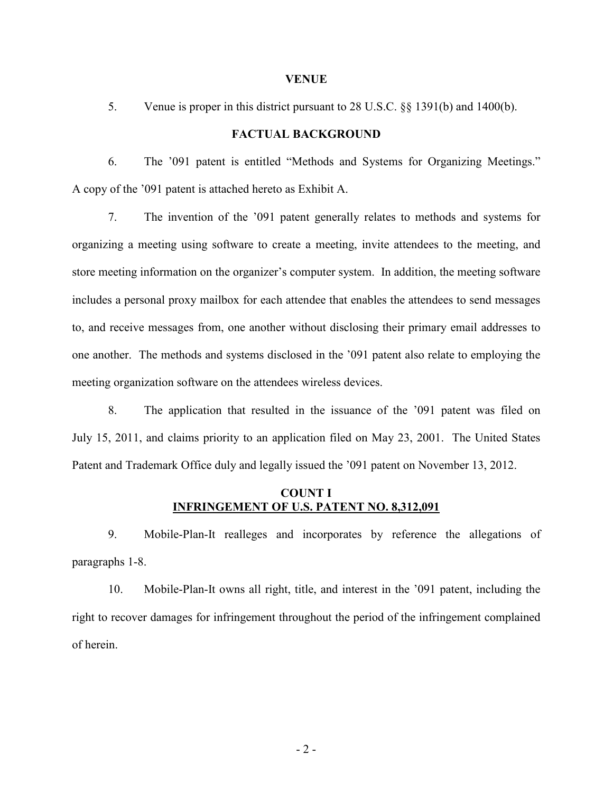#### **VENUE**

# 5. Venue is proper in this district pursuant to 28 U.S.C. §§ 1391(b) and 1400(b).

#### **FACTUAL BACKGROUND**

6. The '091 patent is entitled "Methods and Systems for Organizing Meetings." A copy of the '091 patent is attached hereto as Exhibit A.

7. The invention of the '091 patent generally relates to methods and systems for organizing a meeting using software to create a meeting, invite attendees to the meeting, and store meeting information on the organizer's computer system. In addition, the meeting software includes a personal proxy mailbox for each attendee that enables the attendees to send messages to, and receive messages from, one another without disclosing their primary email addresses to one another. The methods and systems disclosed in the '091 patent also relate to employing the meeting organization software on the attendees wireless devices.

8. The application that resulted in the issuance of the '091 patent was filed on July 15, 2011, and claims priority to an application filed on May 23, 2001. The United States Patent and Trademark Office duly and legally issued the '091 patent on November 13, 2012.

#### **COUNT I INFRINGEMENT OF U.S. PATENT NO. 8,312,091**

9. Mobile-Plan-It realleges and incorporates by reference the allegations of paragraphs 1-8.

10. Mobile-Plan-It owns all right, title, and interest in the '091 patent, including the right to recover damages for infringement throughout the period of the infringement complained of herein.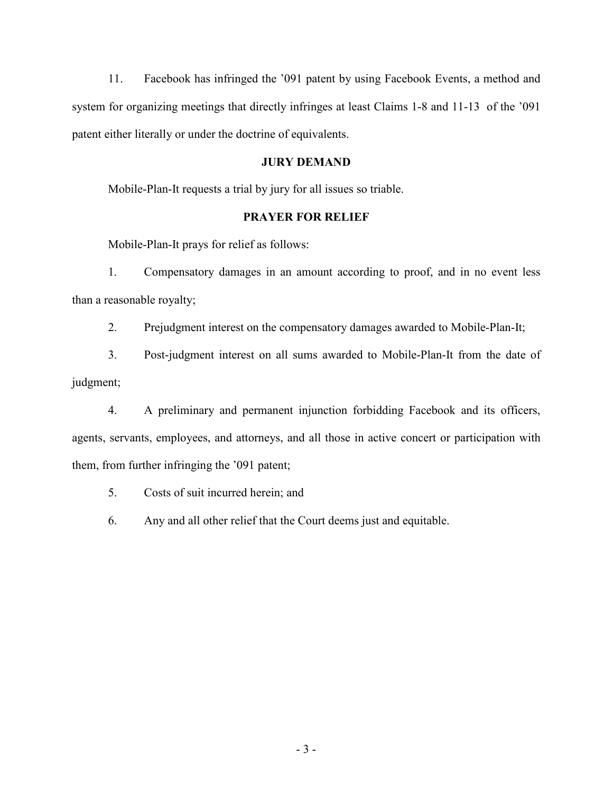11. Facebook has infringed the '091 patent by using Facebook Events, a method and system for organizing meetings that directly infringes at least Claims 1-8 and 11-13 of the '091 patent either literally or under the doctrine of equivalents.

# **JURY DEMAND**

Mobile-Plan-It requests a trial by jury for all issues so triable.

#### **PRAYER FOR RELIEF**

Mobile-Plan-It prays for relief as follows:

1. Compensatory damages in an amount according to proof, and in no event less than a reasonable royalty;

2. Prejudgment interest on the compensatory damages awarded to Mobile-Plan-It;

3. Post-judgment interest on all sums awarded to Mobile-Plan-It from the date of judgment;

4. A preliminary and permanent injunction forbidding Facebook and its officers, agents, servants, employees, and attorneys, and all those in active concert or participation with them, from further infringing the '091 patent;

5. Costs of suit incurred herein; and

6. Any and all other relief that the Court deems just and equitable.